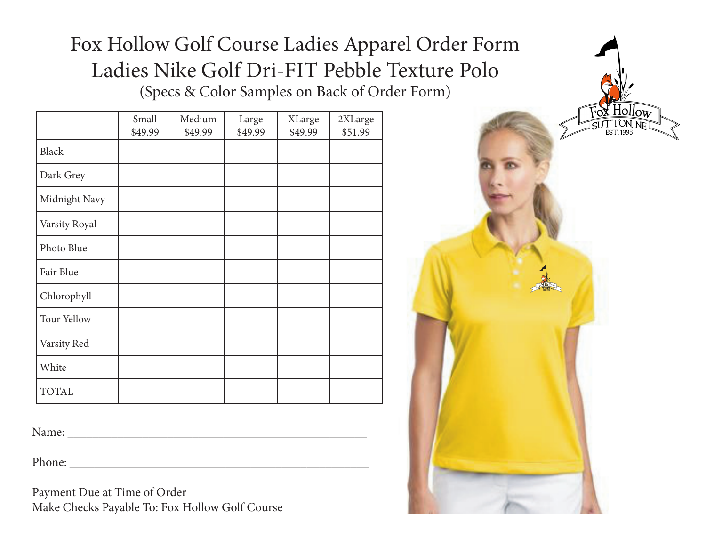# Fox Hollow Golf Course Ladies Apparel Order Form Ladies Nike Golf Dri-FIT Pebble Texture Polo (Specs & Color Samples on Back of Order Form)

|               | Small<br>\$49.99 | Medium<br>\$49.99 | Large<br>\$49.99 | XLarge<br>\$49.99 | 2XLarge<br>\$51.99 |
|---------------|------------------|-------------------|------------------|-------------------|--------------------|
| <b>Black</b>  |                  |                   |                  |                   |                    |
| Dark Grey     |                  |                   |                  |                   |                    |
| Midnight Navy |                  |                   |                  |                   |                    |
| Varsity Royal |                  |                   |                  |                   |                    |
| Photo Blue    |                  |                   |                  |                   |                    |
| Fair Blue     |                  |                   |                  |                   |                    |
| Chlorophyll   |                  |                   |                  |                   |                    |
| Tour Yellow   |                  |                   |                  |                   |                    |
| Varsity Red   |                  |                   |                  |                   |                    |
| White         |                  |                   |                  |                   |                    |
| <b>TOTAL</b>  |                  |                   |                  |                   |                    |

Name:

Phone:

Payment Due at Time of Order Make Checks Payable To: Fox Hollow Golf Course